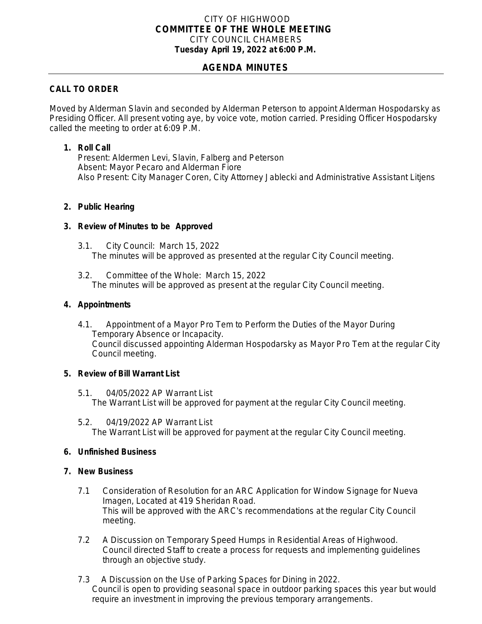# CITY OF HIGHWOOD *COMMITTEE OF THE WHOLE MEETING* CITY COUNCIL CHAMBERS **Tuesday April 19, 2022 at 6:00 P.M.**

# **AGENDA MINUTES**

# **CALL TO ORDER**

Moved by Alderman Slavin and seconded by Alderman Peterson to appoint Alderman Hospodarsky as Presiding Officer. All present voting aye, by voice vote, motion carried. Presiding Officer Hospodarsky called the meeting to order at 6:09 P.M.

## **1. Roll Call**

Present: Aldermen Levi, Slavin, Falberg and Peterson Absent: Mayor Pecaro and Alderman Fiore Also Present: City Manager Coren, City Attorney Jablecki and Administrative Assistant Litjens

#### **2. Public Hearing**

# **3. Review of Minutes to be Approved**

- 3.1. City Council: March 15, 2022 The minutes will be approved as presented at the regular City Council meeting.
- 3.2. Committee of the Whole: March 15, 2022 The minutes will be approved as present at the regular City Council meeting.

# **4. Appointments**

4.1. Appointment of a Mayor Pro Tem to Perform the Duties of the Mayor During Temporary Absence or Incapacity. Council discussed appointing Alderman Hospodarsky as Mayor Pro Tem at the regular City Council meeting.

# **5. Review of Bill Warrant List**

- 5.1. 04/05/2022 AP Warrant List The Warrant List will be approved for payment at the regular City Council meeting.
- 5.2. 04/19/2022 AP Warrant List The Warrant List will be approved for payment at the regular City Council meeting.

#### **6. Unfinished Business**

#### **7. New Business**

- 7.1 Consideration of Resolution for an ARC Application for Window Signage for Nueva Imagen, Located at 419 Sheridan Road. This will be approved with the ARC's recommendations at the regular City Council meeting.
- 7.2 A Discussion on Temporary Speed Humps in Residential Areas of Highwood. Council directed Staff to create a process for requests and implementing guidelines through an objective study.
- 7.3 A Discussion on the Use of Parking Spaces for Dining in 2022. Council is open to providing seasonal space in outdoor parking spaces this year but would require an investment in improving the previous temporary arrangements.